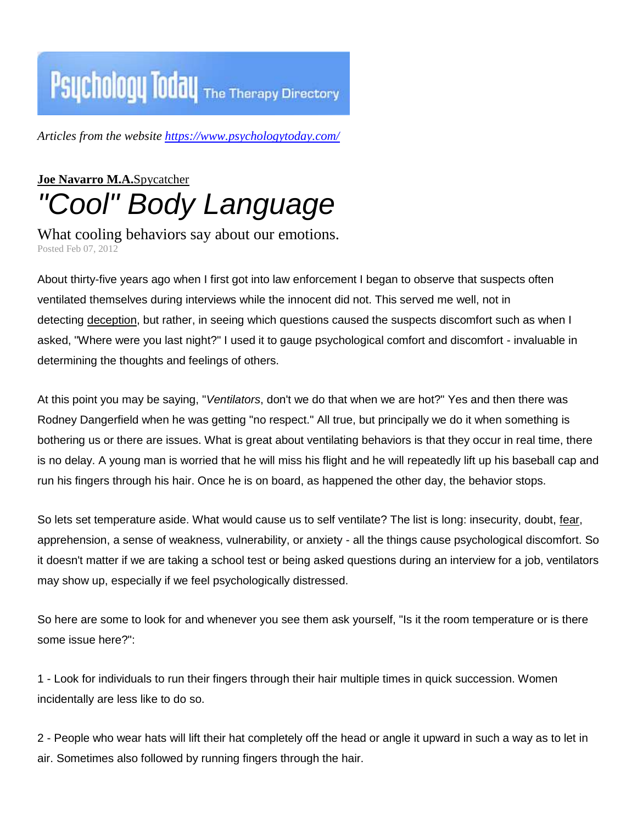# Psychology Today The Therapy Directory

*Articles from the website<https://www.psychologytoday.com/>*

# **[Joe Navarro M.A.](https://www.psychologytoday.com/experts/joe-navarro-ma)**[Spycatcher](https://www.psychologytoday.com/experts/joe-navarro-ma) *"Cool" Body Language*

What cooling behaviors say about our emotions. Posted Feb 07, 2012

About thirty-five years ago when I first got into law enforcement I began to observe that suspects often ventilated themselves during interviews while the innocent did not. This served me well, not in detecting [deception,](https://www.psychologytoday.com/basics/deception) but rather, in seeing which questions caused the suspects discomfort such as when I asked, "Where were you last night?" I used it to gauge psychological comfort and discomfort - invaluable in determining the thoughts and feelings of others.

At this point you may be saying, "*Ventilators*, don't we do that when we are hot?" Yes and then there was Rodney Dangerfield when he was getting "no respect." All true, but principally we do it when something is bothering us or there are issues. What is great about ventilating behaviors is that they occur in real time, there is no delay. A young man is worried that he will miss his flight and he will repeatedly lift up his baseball cap and run his fingers through his hair. Once he is on board, as happened the other day, the behavior stops.

So lets set temperature aside. What would cause us to self ventilate? The list is long: insecurity, doubt, [fear,](https://www.psychologytoday.com/basics/fear) apprehension, a sense of weakness, vulnerability, or anxiety - all the things cause psychological discomfort. So it doesn't matter if we are taking a school test or being asked questions during an interview for a job, ventilators may show up, especially if we feel psychologically distressed.

So here are some to look for and whenever you see them ask yourself, "Is it the room temperature or is there some issue here?":

1 - Look for individuals to run their fingers through their hair multiple times in quick succession. Women incidentally are less like to do so.

2 - People who wear hats will lift their hat completely off the head or angle it upward in such a way as to let in air. Sometimes also followed by running fingers through the hair.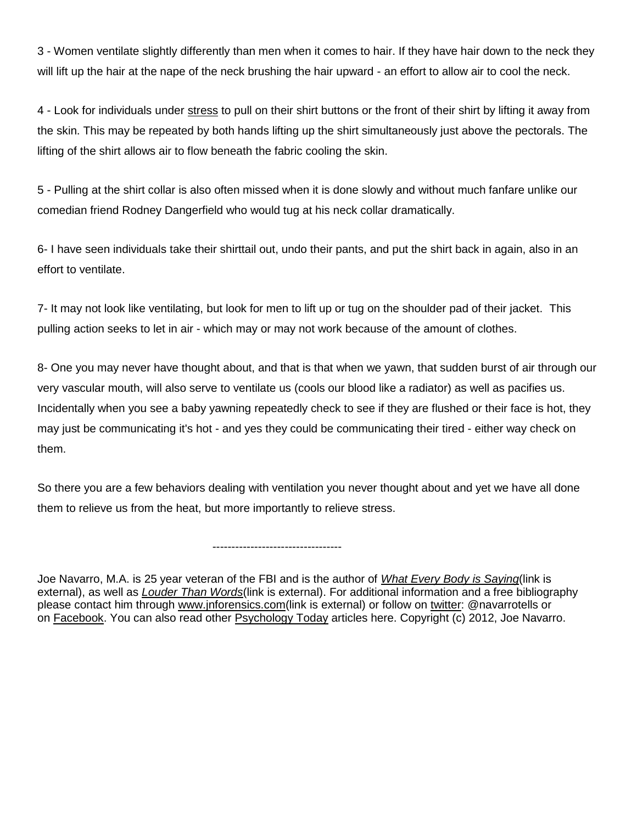3 - Women ventilate slightly differently than men when it comes to hair. If they have hair down to the neck they will lift up the hair at the nape of the neck brushing the hair upward - an effort to allow air to cool the neck.

4 - Look for individuals under [stress](https://www.psychologytoday.com/basics/stress) to pull on their shirt buttons or the front of their shirt by lifting it away from the skin. This may be repeated by both hands lifting up the shirt simultaneously just above the pectorals. The lifting of the shirt allows air to flow beneath the fabric cooling the skin.

5 - Pulling at the shirt collar is also often missed when it is done slowly and without much fanfare unlike our comedian friend Rodney Dangerfield who would tug at his neck collar dramatically.

6- I have seen individuals take their shirttail out, undo their pants, and put the shirt back in again, also in an effort to ventilate.

7- It may not look like ventilating, but look for men to lift up or tug on the shoulder pad of their jacket. This pulling action seeks to let in air - which may or may not work because of the amount of clothes.

8- One you may never have thought about, and that is that when we yawn, that sudden burst of air through our very vascular mouth, will also serve to ventilate us (cools our blood like a radiator) as well as pacifies us. Incidentally when you see a baby yawning repeatedly check to see if they are flushed or their face is hot, they may just be communicating it's hot - and yes they could be communicating their tired - either way check on them.

So there you are a few behaviors dealing with ventilation you never thought about and yet we have all done them to relieve us from the heat, but more importantly to relieve stress.

Joe Navarro, M.A. is 25 year veteran of the FBI and is the author of *[What Every Body is Saying](http://www.amazon.com/What-Every-BODY-Saying-Speed-Reading/dp/0061438294/ref=sr_1_1?ie=UTF8&qid=1310130160&sr=8-1)*(link is [external\),](http://www.amazon.com/What-Every-BODY-Saying-Speed-Reading/dp/0061438294/ref=sr_1_1?ie=UTF8&qid=1310130160&sr=8-1) as well as *[Louder Than Words](http://www.amazon.com/Louder-Than-Words-Intelligence-ebook/dp/B0036F6WZS/ref=sr_1_1?ie=UTF8&qid=1310130493&sr=1-1-spell)*(link is external). For additional information and a free bibliography please contact him through [www.jnforensics.com\(link is external\)](http://www.jnforensics.com/) or follow on [twitter:](https://www.psychologytoday.com/basics/social-networking) @navarrotells or on [Facebook.](https://www.psychologytoday.com/blog/spycatcher/201202/Man1.jpg) You can also read other [Psychology Today](http://www.psychologytoday.com/blog/spycatcher) articles here. Copyright (c) 2012, Joe Navarro.

----------------------------------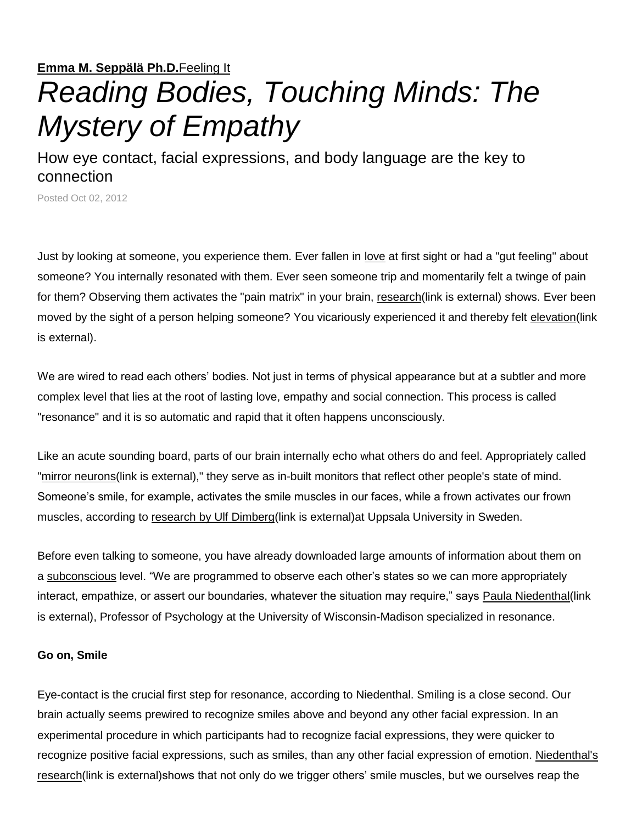# **[Emma M. Seppälä Ph.D.](https://www.psychologytoday.com/experts/emma-m-sepp-l-phd)**[Feeling It](https://www.psychologytoday.com/experts/emma-m-sepp-l-phd) *Reading Bodies, Touching Minds: The Mystery of Empathy*

How eye contact, facial expressions, and body language are the key to connection

Posted Oct 02, 2012

Just by looking at someone, you experience them. Ever fallen in [love](https://www.psychologytoday.com/basics/relationships) at first sight or had a "gut feeling" about someone? You internally resonated with them. Ever seen someone trip and momentarily felt a twinge of pain for them? Observing them activates the "pain matrix" in your brain, [research\(link is external\)](http://www.plosone.org/article/info:doi/10.1371/journal.pone.0001292) shows. Ever been moved by the sight of a person helping someone? You vicariously experienced it and thereby felt [elevation\(link](http://people.virginia.edu/~jdh6n/elevation.html)  [is external\).](http://people.virginia.edu/~jdh6n/elevation.html)

We are wired to read each others' bodies. Not just in terms of physical appearance but at a subtler and more complex level that lies at the root of lasting love, empathy and social connection. This process is called "resonance" and it is so automatic and rapid that it often happens unconsciously.

Like an acute sounding board, parts of our brain internally echo what others do and feel. Appropriately called ["mirror neurons\(link is external\),](http://en.wikipedia.org/wiki/Mirror_neuron)" they serve as in-built monitors that reflect other people's state of mind. Someone's smile, for example, activates the smile muscles in our faces, while a frown activates our frown muscles, according to [research by Ulf Dimberg\(link is external\)a](http://pss.sagepub.com/content/11/1/86.short)t Uppsala University in Sweden.

Before even talking to someone, you have already downloaded large amounts of information about them on a [subconscious](https://www.psychologytoday.com/basics/unconscious) level. "We are programmed to observe each other's states so we can more appropriately interact, empathize, or assert our boundaries, whatever the situation may require," says [Paula Niedenthal\(link](http://niedenthal.socialpsychology.org/)  [is external\),](http://niedenthal.socialpsychology.org/) Professor of Psychology at the University of Wisconsin-Madison specialized in resonance.

#### **Go on, Smile**

Eye-contact is the crucial first step for resonance, according to Niedenthal. Smiling is a close second. Our brain actually seems prewired to recognize smiles above and beyond any other facial expression. In an experimental procedure in which participants had to recognize facial expressions, they were quicker to recognize positive facial expressions, such as smiles, than any other facial expression of emotion. [Niedenthal's](http://www.sciencemag.org/content/316/5827/1002.abstract)  [research\(link is external\)s](http://www.sciencemag.org/content/316/5827/1002.abstract)hows that not only do we trigger others' smile muscles, but we ourselves reap the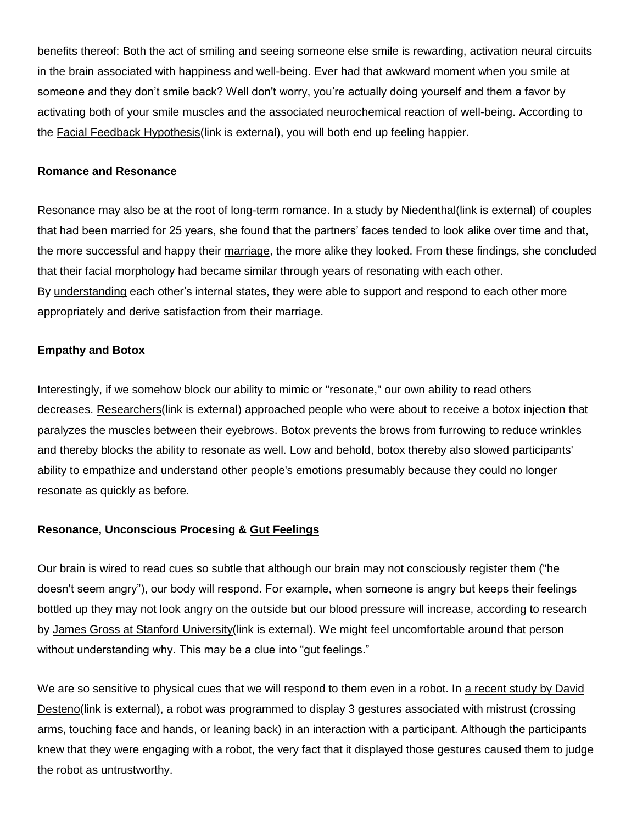benefits thereof: Both the act of smiling and seeing someone else smile is rewarding, activation [neural](https://www.psychologytoday.com/basics/neuroscience) circuits in the brain associated with [happiness](https://www.psychologytoday.com/basics/happiness) and well-being. Ever had that awkward moment when you smile at someone and they don't smile back? Well don't worry, you're actually doing yourself and them a favor by activating both of your smile muscles and the associated neurochemical reaction of well-being. According to the [Facial Feedback Hypothesis\(link is external\),](http://en.wikipedia.org/wiki/Facial_feedback_hypothesis) you will both end up feeling happier.

#### **Romance and Resonance**

Resonance may also be at the root of long-term romance. In [a study by Niedenthal\(link is external\)](http://deepblue.lib.umich.edu/handle/2027.42/45361) of couples that had been married for 25 years, she found that the partners' faces tended to look alike over time and that, the more successful and happy their [marriage,](https://www.psychologytoday.com/basics/marriage) the more alike they looked. From these findings, she concluded that their facial morphology had became similar through years of resonating with each other. By [understanding](https://www.psychologytoday.com/basics/empathy) each other's internal states, they were able to support and respond to each other more appropriately and derive satisfaction from their marriage.

#### **Empathy and Botox**

Interestingly, if we somehow block our ability to mimic or "resonate," our own ability to read others decreases. [Researchers\(link is external\)](http://www.nytimes.com/2011/06/19/fashion/botox-reduces-the-ability-to-empathize-study-says.html?_r=0) approached people who were about to receive a botox injection that paralyzes the muscles between their eyebrows. Botox prevents the brows from furrowing to reduce wrinkles and thereby blocks the ability to resonate as well. Low and behold, botox thereby also slowed participants' ability to empathize and understand other people's emotions presumably because they could no longer resonate as quickly as before.

#### **Resonance, Unconscious Procesing & [Gut Feelings](https://www.psychologytoday.com/basics/intuition)**

Our brain is wired to read cues so subtle that although our brain may not consciously register them ("he doesn't seem angry"), our body will respond. For example, when someone is angry but keeps their feelings bottled up they may not look angry on the outside but our blood pressure will increase, according to research by [James Gross at Stanford University\(link is external\).](http://psycnet.apa.org/journals/psp/64/6/970/) We might feel uncomfortable around that person without understanding why. This may be a clue into "gut feelings."

We are so sensitive to physical cues that we will respond to them even in a robot. In [a recent study by David](http://www.northeastern.edu/news/2012/09/trusty-robot-helps-us-understand-human-social-cues/)  [Desteno\(link is external\),](http://www.northeastern.edu/news/2012/09/trusty-robot-helps-us-understand-human-social-cues/) a robot was programmed to display 3 gestures associated with mistrust (crossing arms, touching face and hands, or leaning back) in an interaction with a participant. Although the participants knew that they were engaging with a robot, the very fact that it displayed those gestures caused them to judge the robot as untrustworthy.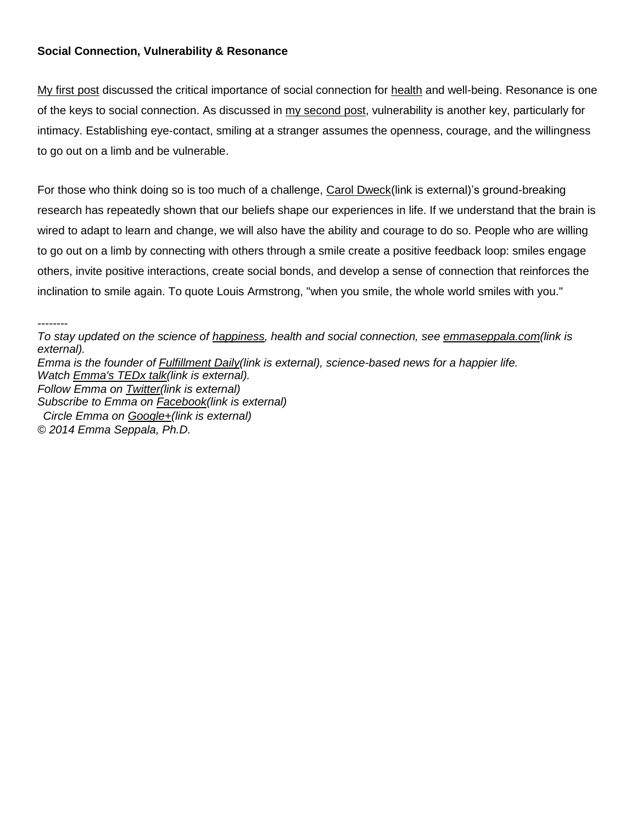#### **Social Connection, Vulnerability & Resonance**

[My first post](http://www.psychologytoday.com/blog/feeling-it/201208/connect-thrive) discussed the critical importance of social connection for [health](https://www.psychologytoday.com/basics/health) and well-being. Resonance is one of the keys to social connection. As discussed in [my second post,](http://www.psychologytoday.com/blog/feeling-it/201209/vulnerability-the-secret-intimacy) vulnerability is another key, particularly for intimacy. Establishing eye-contact, smiling at a stranger assumes the openness, courage, and the willingness to go out on a limb and be vulnerable.

For those who think doing so is too much of a challenge, [Carol Dweck\(link is external\)'](https://www.stanford.edu/dept/psychology/cgi-bin/drupalm/cdweck)s ground-breaking research has repeatedly shown that our beliefs shape our experiences in life. If we understand that the brain is wired to adapt to learn and change, we will also have the ability and courage to do so. People who are willing to go out on a limb by connecting with others through a smile create a positive feedback loop: smiles engage others, invite positive interactions, create social bonds, and develop a sense of connection that reinforces the inclination to smile again. To quote Louis Armstrong, "when you smile, the whole world smiles with you."

*-------- To stay updated on the science of [happiness,](http://www.psychologytoday.com/basics/happiness) health and social connection, see [emmaseppala.com\(link is](http://www.emmaseppala.com/)  [external\).](http://www.emmaseppala.com/) Emma is the founder of [Fulfillment Daily\(link is external\),](http://www.fulfillmentdaily.com/) science-based news for a happier life. Watch [Emma's TEDx talk\(link is external\).](http://www.youtube.com/watch?v=jlXJnlmAXt0&feature=c4-overview&list=UUzno-z2lWDjrjU9J3Xd-L3Q) Follow Emma on [Twitter\(link is external\)](https://twitter.com/emmaseppala) Subscribe to Emma on [Facebook\(link is external\)](https://www.facebook.com/emma.seppala) Circle Emma on [Google+\(link is external\)](https://plus.google.com/115728496482871759435?rel=author) © 2014 Emma Seppala, Ph.D.*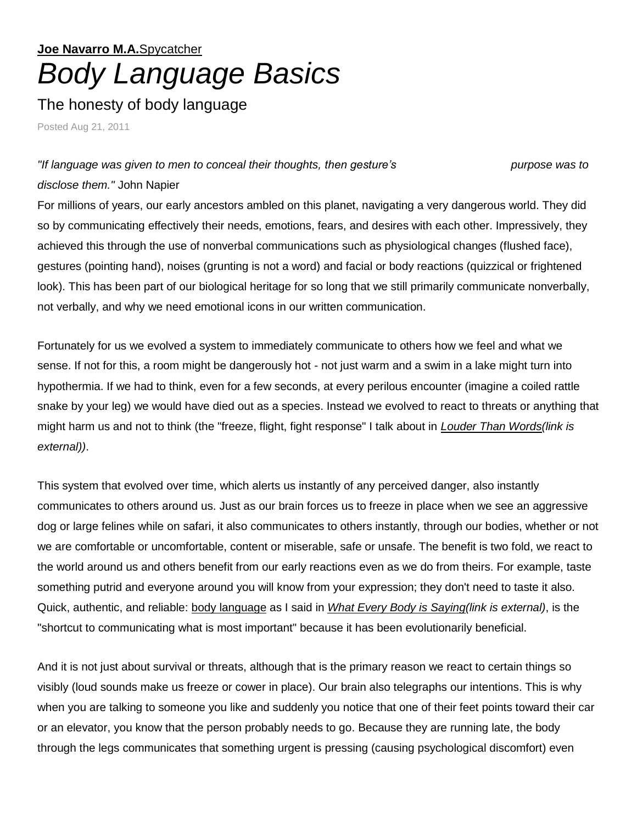# **[Joe Navarro M.A.](https://www.psychologytoday.com/experts/joe-navarro-ma)**[Spycatcher](https://www.psychologytoday.com/experts/joe-navarro-ma) *Body Language Basics*

# The honesty of body language

Posted Aug 21, 2011

# "If language was given to men to conceal their thoughts, then gesture's purpose was to purpose was to *disclose them."* John Napier

For millions of years, our early ancestors ambled on this planet, navigating a very dangerous world. They did so by communicating effectively their needs, emotions, fears, and desires with each other. Impressively, they achieved this through the use of nonverbal communications such as physiological changes (flushed face), gestures (pointing hand), noises (grunting is not a word) and facial or body reactions (quizzical or frightened look). This has been part of our biological heritage for so long that we still primarily communicate nonverbally, not verbally, and why we need emotional icons in our written communication.

Fortunately for us we evolved a system to immediately communicate to others how we feel and what we sense. If not for this, a room might be dangerously hot - not just warm and a swim in a lake might turn into hypothermia. If we had to think, even for a few seconds, at every perilous encounter (imagine a coiled rattle snake by your leg) we would have died out as a species. Instead we evolved to react to threats or anything that might harm us and not to think (the "freeze, flight, fight response" I talk about in *[Louder Than Words\(link is](http://www.amazon.com/Louder-Than-Words-Exceptional-Intelligence/dp/B0043GXXUQ/ref=sr_1_2?ie=UTF8&qid=1313956689&sr=8-2)  [external\)\)](http://www.amazon.com/Louder-Than-Words-Exceptional-Intelligence/dp/B0043GXXUQ/ref=sr_1_2?ie=UTF8&qid=1313956689&sr=8-2)*.

This system that evolved over time, which alerts us instantly of any perceived danger, also instantly communicates to others around us. Just as our brain forces us to freeze in place when we see an aggressive dog or large felines while on safari, it also communicates to others instantly, through our bodies, whether or not we are comfortable or uncomfortable, content or miserable, safe or unsafe. The benefit is two fold, we react to the world around us and others benefit from our early reactions even as we do from theirs. For example, taste something putrid and everyone around you will know from your expression; they don't need to taste it also. Quick, authentic, and reliable: [body language](https://www.psychologytoday.com/basics/body-language) as I said in *[What Every Body is Saying\(link is](http://www.amazon.com/What-Every-BODY-Saying-Speed-Reading/dp/0061438294/ref=sr_1_1?s=books&ie=UTF8&qid=1313956761&sr=1-1) external)*, is the "shortcut to communicating what is most important" because it has been evolutionarily beneficial.

And it is not just about survival or threats, although that is the primary reason we react to certain things so visibly (loud sounds make us freeze or cower in place). Our brain also telegraphs our intentions. This is why when you are talking to someone you like and suddenly you notice that one of their feet points toward their car or an elevator, you know that the person probably needs to go. Because they are running late, the body through the legs communicates that something urgent is pressing (causing psychological discomfort) even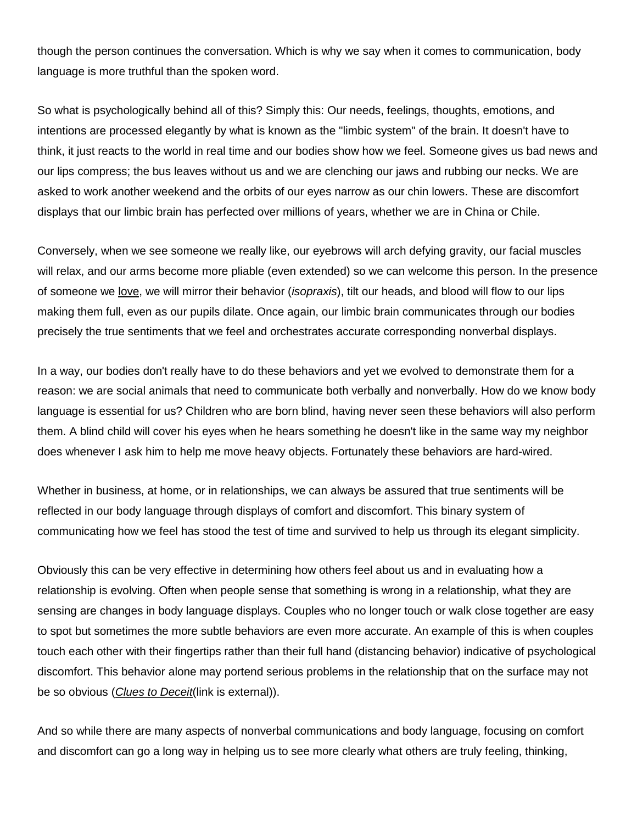though the person continues the conversation. Which is why we say when it comes to communication, body language is more truthful than the spoken word.

So what is psychologically behind all of this? Simply this: Our needs, feelings, thoughts, emotions, and intentions are processed elegantly by what is known as the "limbic system" of the brain. It doesn't have to think, it just reacts to the world in real time and our bodies show how we feel. Someone gives us bad news and our lips compress; the bus leaves without us and we are clenching our jaws and rubbing our necks. We are asked to work another weekend and the orbits of our eyes narrow as our chin lowers. These are discomfort displays that our limbic brain has perfected over millions of years, whether we are in China or Chile.

Conversely, when we see someone we really like, our eyebrows will arch defying gravity, our facial muscles will relax, and our arms become more pliable (even extended) so we can welcome this person. In the presence of someone we [love,](https://www.psychologytoday.com/basics/relationships) we will mirror their behavior (*isopraxis*), tilt our heads, and blood will flow to our lips making them full, even as our pupils dilate. Once again, our limbic brain communicates through our bodies precisely the true sentiments that we feel and orchestrates accurate corresponding nonverbal displays.

In a way, our bodies don't really have to do these behaviors and yet we evolved to demonstrate them for a reason: we are social animals that need to communicate both verbally and nonverbally. How do we know body language is essential for us? Children who are born blind, having never seen these behaviors will also perform them. A blind child will cover his eyes when he hears something he doesn't like in the same way my neighbor does whenever I ask him to help me move heavy objects. Fortunately these behaviors are hard-wired.

Whether in business, at home, or in relationships, we can always be assured that true sentiments will be reflected in our body language through displays of comfort and discomfort. This binary system of communicating how we feel has stood the test of time and survived to help us through its elegant simplicity.

Obviously this can be very effective in determining how others feel about us and in evaluating how a relationship is evolving. Often when people sense that something is wrong in a relationship, what they are sensing are changes in body language displays. Couples who no longer touch or walk close together are easy to spot but sometimes the more subtle behaviors are even more accurate. An example of this is when couples touch each other with their fingertips rather than their full hand (distancing behavior) indicative of psychological discomfort. This behavior alone may portend serious problems in the relationship that on the surface may not be so obvious (*Clues to Deceit*[\(link is external\)\)](http://www.amazon.com/Clues-Deceit-Practical-List-ebook/dp/B004NNUZSM/ref=sr_1_1?ie=UTF8&qid=1347927492&sr=8-1&keywords=clues+to+deceit).

And so while there are many aspects of nonverbal communications and body language, focusing on comfort and discomfort can go a long way in helping us to see more clearly what others are truly feeling, thinking,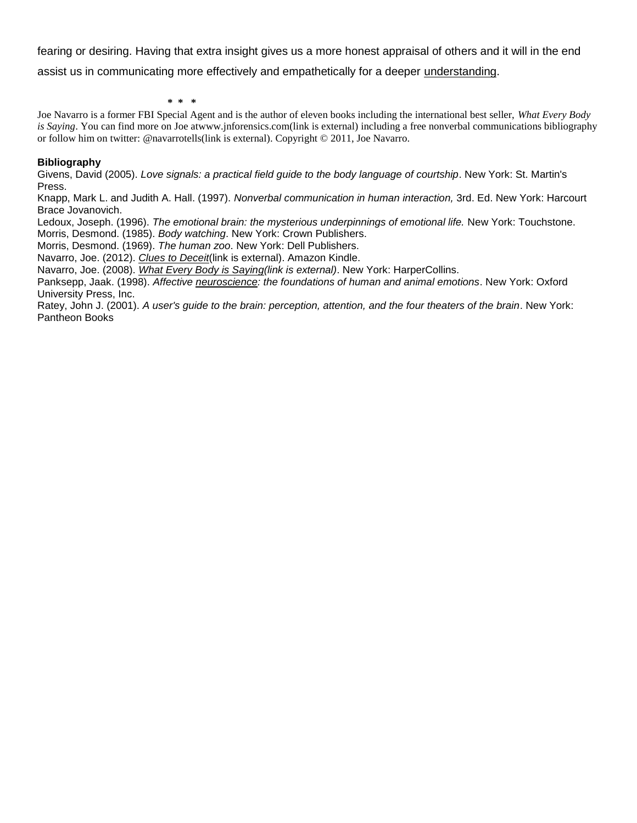fearing or desiring. Having that extra insight gives us a more honest appraisal of others and it will in the end

assist us in communicating more effectively and empathetically for a deeper [understanding.](https://www.psychologytoday.com/basics/empathy)

**\* \* \***

Joe Navarro is a former FBI Special Agent and is the author of eleven books including the international best seller, *What Every Body is Saying*. You can find more on Joe a[twww.jnforensics.com\(link is external\)](http://www.jnforensics.com/) including a free nonverbal communications bibliography or follow him on [twitter:](https://www.psychologytoday.com/basics/social-networking) [@navarrotells\(link is external\).](http://twitter.com/#!/navarrotells) Copyright © 2011, Joe Navarro.

#### **Bibliography**

Givens, David (2005). *Love signals: a practical field guide to the body language of courtship*. New York: St. Martin's Press.

Knapp, Mark L. and Judith A. Hall. (1997). *Nonverbal communication in human interaction,* 3rd. Ed. New York: Harcourt Brace Jovanovich.

Ledoux, Joseph. (1996). *The emotional brain: the mysterious underpinnings of emotional life.* New York: Touchstone. Morris, Desmond. (1985). *Body watching*. New York: Crown Publishers.

Morris, Desmond. (1969). *The human zoo*. New York: Dell Publishers.

Navarro, Joe. (2012). *Clues to Deceit*[\(link is external\).](http://www.amazon.com/Clues-Deceit-Practical-List-ebook/dp/B004NNUZSM/ref=sr_1_1?ie=UTF8&qid=1347927492&sr=8-1&keywords=clues+to+deceit) Amazon Kindle.

Navarro, Joe. (2008). *[What Every Body is Saying\(link is external\)](http://www.amazon.com/What-Every-BODY-Saying-Speed-Reading/dp/0061438294/ref=sr_1_1?s=books&ie=UTF8&qid=1313956761&sr=1-1)*. New York: HarperCollins.

Panksepp, Jaak. (1998). *Affective [neuroscience:](https://www.psychologytoday.com/basics/neuroscience) the foundations of human and animal emotions*. New York: Oxford University Press, Inc.

Ratey, John J. (2001). *A user's guide to the brain: perception, attention, and the four theaters of the brain*. New York: Pantheon Books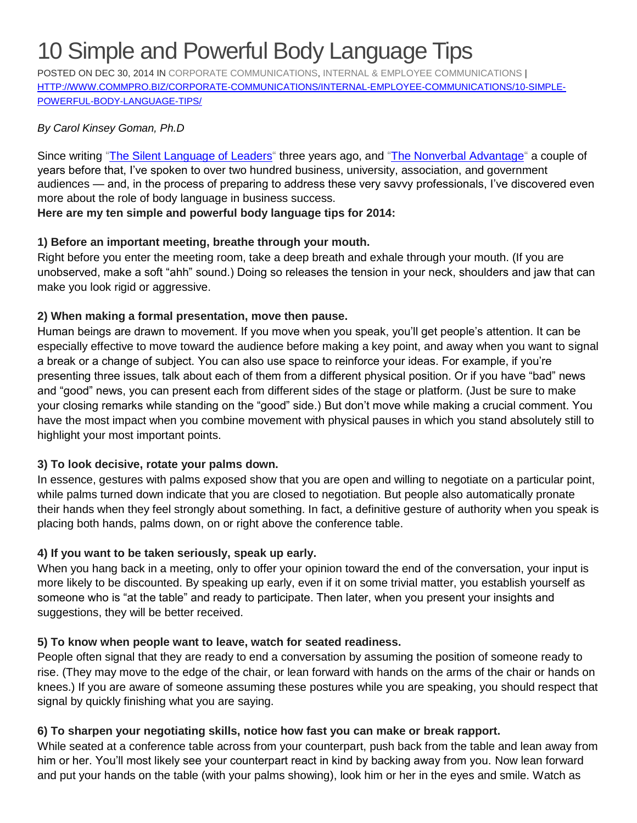# 10 Simple and Powerful Body Language Tips

POSTED ON DEC 30, 2014 IN CORPORATE [COMMUNICATIONS,](http://www.commpro.biz/corporate-communications/) INTERNAL & EMPLOYEE [COMMUNICATIONS](http://www.commpro.biz/corporate-communications/internal-employee-communications/) | [HTTP://WWW.COMMPRO.BIZ/CORPORATE-COMMUNICATIONS/INTERNAL-EMPLOYEE-COMMUNICATIONS/10-SIMPLE-](http://www.commpro.biz/corporate-communications/internal-employee-communications/10-simple-powerful-body-language-tips/)[POWERFUL-BODY-LANGUAGE-TIPS/](http://www.commpro.biz/corporate-communications/internal-employee-communications/10-simple-powerful-body-language-tips/)

### *By Carol Kinsey Goman, Ph.D*

Since writing "The Silent [Language](http://www.amazon.com/Silent-Language-Leaders-Help---Hurt--How/dp/0470876360/ref=sr_1_1?s=books&ie=UTF8&qid=1388536313&sr=1-1&keywords=the+silent+language+of+leaders) of Leaders" three years ago, and "The Nonverbal [Advantage"](http://www.amazon.com/Nonverbal-Advantage-Secrets-Language-Business/dp/1576754928/ref=sr_1_1?s=books&ie=UTF8&qid=1388536414&sr=1-1&keywords=the+nonverbal+advantage) a couple of years before that, I've spoken to over two hundred business, university, association, and government audiences — and, in the process of preparing to address these very savvy professionals, I've discovered even more about the role of body language in business success.

**Here are my ten simple and powerful body language tips for 2014:**

### **1) Before an important meeting, breathe through your mouth.**

Right before you enter the meeting room, take a deep breath and exhale through your mouth. (If you are unobserved, make a soft "ahh" sound.) Doing so releases the tension in your neck, shoulders and jaw that can make you look rigid or aggressive.

## **2) When making a formal presentation, move then pause.**

Human beings are drawn to movement. If you move when you speak, you'll get people's attention. It can be especially effective to move toward the audience before making a key point, and away when you want to signal a break or a change of subject. You can also use space to reinforce your ideas. For example, if you're presenting three issues, talk about each of them from a different physical position. Or if you have "bad" news and "good" news, you can present each from different sides of the stage or platform. (Just be sure to make your closing remarks while standing on the "good" side.) But don't move while making a crucial comment. You have the most impact when you combine movement with physical pauses in which you stand absolutely still to highlight your most important points.

### **3) To look decisive, rotate your palms down.**

In essence, gestures with palms exposed show that you are open and willing to negotiate on a particular point, while palms turned down indicate that you are closed to negotiation. But people also automatically pronate their hands when they feel strongly about something. In fact, a definitive gesture of authority when you speak is placing both hands, palms down, on or right above the conference table.

### **4) If you want to be taken seriously, speak up early.**

When you hang back in a meeting, only to offer your opinion toward the end of the conversation, your input is more likely to be discounted. By speaking up early, even if it on some trivial matter, you establish yourself as someone who is "at the table" and ready to participate. Then later, when you present your insights and suggestions, they will be better received.

### **5) To know when people want to leave, watch for seated readiness.**

People often signal that they are ready to end a conversation by assuming the position of someone ready to rise. (They may move to the edge of the chair, or lean forward with hands on the arms of the chair or hands on knees.) If you are aware of someone assuming these postures while you are speaking, you should respect that signal by quickly finishing what you are saying.

### **6) To sharpen your negotiating skills, notice how fast you can make or break rapport.**

While seated at a conference table across from your counterpart, push back from the table and lean away from him or her. You'll most likely see your counterpart react in kind by backing away from you. Now lean forward and put your hands on the table (with your palms showing), look him or her in the eyes and smile. Watch as